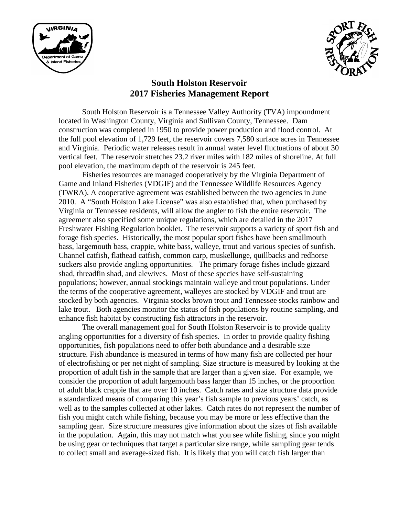



# **South Holston Reservoir 2017 Fisheries Management Report**

South Holston Reservoir is a Tennessee Valley Authority (TVA) impoundment located in Washington County, Virginia and Sullivan County, Tennessee. Dam construction was completed in 1950 to provide power production and flood control. At the full pool elevation of 1,729 feet, the reservoir covers 7,580 surface acres in Tennessee and Virginia. Periodic water releases result in annual water level fluctuations of about 30 vertical feet. The reservoir stretches 23.2 river miles with 182 miles of shoreline. At full pool elevation, the maximum depth of the reservoir is 245 feet.

Fisheries resources are managed cooperatively by the Virginia Department of Game and Inland Fisheries (VDGIF) and the Tennessee Wildlife Resources Agency (TWRA). A cooperative agreement was established between the two agencies in June 2010. A "South Holston Lake License" was also established that, when purchased by Virginia or Tennessee residents, will allow the angler to fish the entire reservoir. The agreement also specified some unique regulations, which are detailed in the 2017 Freshwater Fishing Regulation booklet. The reservoir supports a variety of sport fish and forage fish species. Historically, the most popular sport fishes have been smallmouth bass, largemouth bass, crappie, white bass, walleye, trout and various species of sunfish. Channel catfish, flathead catfish, common carp, muskellunge, quillbacks and redhorse suckers also provide angling opportunities. The primary forage fishes include gizzard shad, threadfin shad, and alewives. Most of these species have self-sustaining populations; however, annual stockings maintain walleye and trout populations. Under the terms of the cooperative agreement, walleyes are stocked by VDGIF and trout are stocked by both agencies. Virginia stocks brown trout and Tennessee stocks rainbow and lake trout. Both agencies monitor the status of fish populations by routine sampling, and enhance fish habitat by constructing fish attractors in the reservoir.

The overall management goal for South Holston Reservoir is to provide quality angling opportunities for a diversity of fish species. In order to provide quality fishing opportunities, fish populations need to offer both abundance and a desirable size structure. Fish abundance is measured in terms of how many fish are collected per hour of electrofishing or per net night of sampling. Size structure is measured by looking at the proportion of adult fish in the sample that are larger than a given size. For example, we consider the proportion of adult largemouth bass larger than 15 inches, or the proportion of adult black crappie that are over 10 inches. Catch rates and size structure data provide a standardized means of comparing this year's fish sample to previous years' catch, as well as to the samples collected at other lakes. Catch rates do not represent the number of fish you might catch while fishing, because you may be more or less effective than the sampling gear. Size structure measures give information about the sizes of fish available in the population. Again, this may not match what you see while fishing, since you might be using gear or techniques that target a particular size range, while sampling gear tends to collect small and average-sized fish. It is likely that you will catch fish larger than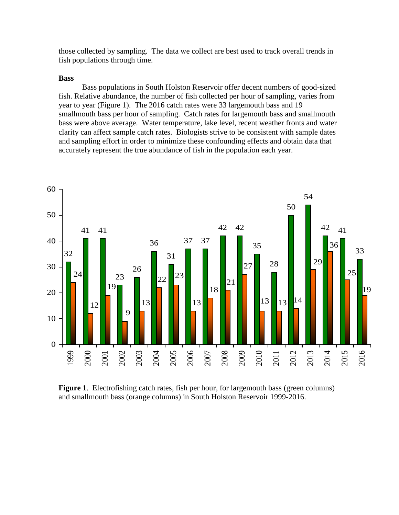those collected by sampling. The data we collect are best used to track overall trends in fish populations through time.

#### **Bass**

Bass populations in South Holston Reservoir offer decent numbers of good-sized fish. Relative abundance, the number of fish collected per hour of sampling, varies from year to year (Figure 1). The 2016 catch rates were 33 largemouth bass and 19 smallmouth bass per hour of sampling. Catch rates for largemouth bass and smallmouth bass were above average. Water temperature, lake level, recent weather fronts and water clarity can affect sample catch rates. Biologists strive to be consistent with sample dates and sampling effort in order to minimize these confounding effects and obtain data that accurately represent the true abundance of fish in the population each year.



**Figure 1.** Electrofishing catch rates, fish per hour, for largemouth bass (green columns) and smallmouth bass (orange columns) in South Holston Reservoir 1999-2016.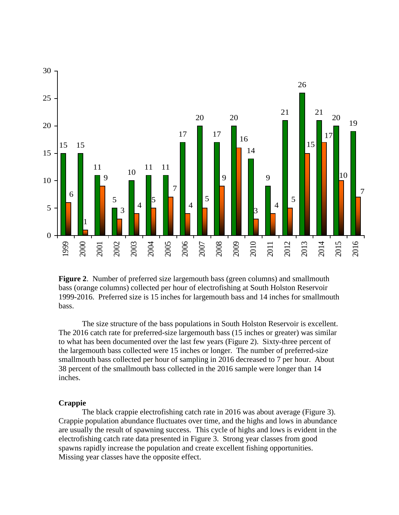

**Figure 2**. Number of preferred size largemouth bass (green columns) and smallmouth bass (orange columns) collected per hour of electrofishing at South Holston Reservoir 1999-2016. Preferred size is 15 inches for largemouth bass and 14 inches for smallmouth bass.

The size structure of the bass populations in South Holston Reservoir is excellent. The 2016 catch rate for preferred-size largemouth bass (15 inches or greater) was similar to what has been documented over the last few years (Figure 2). Sixty-three percent of the largemouth bass collected were 15 inches or longer. The number of preferred-size smallmouth bass collected per hour of sampling in 2016 decreased to 7 per hour. About percent of the smallmouth bass collected in the 2016 sample were longer than 14 inches.

#### **Crappie**

The black crappie electrofishing catch rate in 2016 was about average (Figure 3). Crappie population abundance fluctuates over time, and the highs and lows in abundance are usually the result of spawning success. This cycle of highs and lows is evident in the electrofishing catch rate data presented in Figure 3. Strong year classes from good spawns rapidly increase the population and create excellent fishing opportunities. Missing year classes have the opposite effect.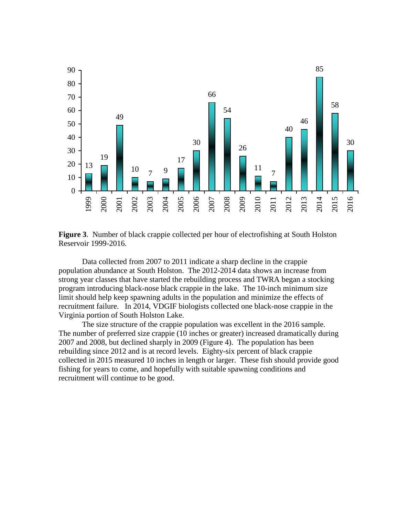

**Figure 3**. Number of black crappie collected per hour of electrofishing at South Holston Reservoir 1999-2016.

Data collected from 2007 to 2011 indicate a sharp decline in the crappie population abundance at South Holston. The 2012-2014 data shows an increase from strong year classes that have started the rebuilding process and TWRA began a stocking program introducing black-nose black crappie in the lake. The 10-inch minimum size limit should help keep spawning adults in the population and minimize the effects of recruitment failure. In 2014, VDGIF biologists collected one black-nose crappie in the Virginia portion of South Holston Lake.

The size structure of the crappie population was excellent in the 2016 sample. The number of preferred size crappie (10 inches or greater) increased dramatically during and 2008, but declined sharply in 2009 (Figure 4). The population has been rebuilding since 2012 and is at record levels. Eighty-six percent of black crappie collected in 2015 measured 10 inches in length or larger. These fish should provide good fishing for years to come, and hopefully with suitable spawning conditions and recruitment will continue to be good.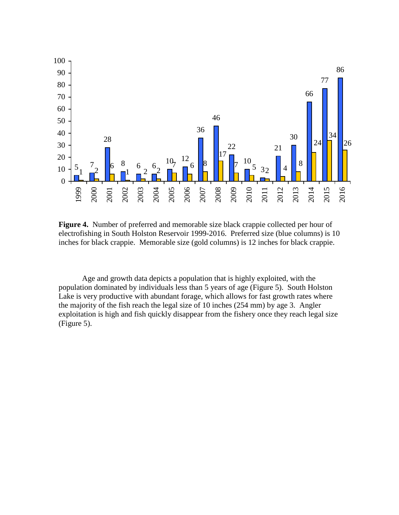

**Figure 4.** Number of preferred and memorable size black crappie collected per hour of electrofishing in South Holston Reservoir 1999-2016. Preferred size (blue columns) is 10 inches for black crappie. Memorable size (gold columns) is 12 inches for black crappie.

Age and growth data depicts a population that is highly exploited, with the population dominated by individuals less than 5 years of age (Figure 5). South Holston Lake is very productive with abundant forage, which allows for fast growth rates where the majority of the fish reach the legal size of 10 inches (254 mm) by age 3. Angler exploitation is high and fish quickly disappear from the fishery once they reach legal size (Figure 5).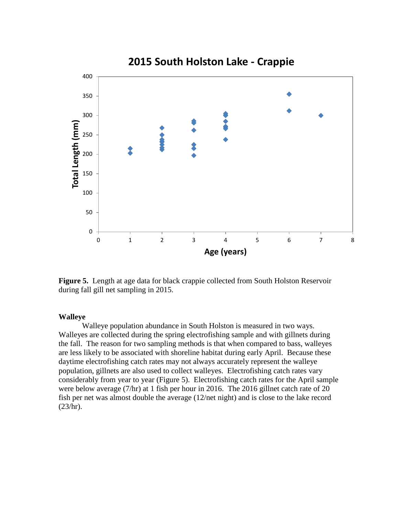

**Figure 5.** Length at age data for black crappie collected from South Holston Reservoir during fall gill net sampling in 2015.

### **Walleye**

Walleye population abundance in South Holston is measured in two ways. Walleyes are collected during the spring electrofishing sample and with gillnets during the fall. The reason for two sampling methods is that when compared to bass, walleyes are less likely to be associated with shoreline habitat during early April. Because these daytime electrofishing catch rates may not always accurately represent the walleye population, gillnets are also used to collect walleyes. Electrofishing catch rates vary considerably from year to year (Figure 5). Electrofishing catch rates for the April sample were below average (7/hr) at 1 fish per hour in 2016. The 2016 gillnet catch rate of 20 fish per net was almost double the average (12/net night) and is close to the lake record  $(23/hr).$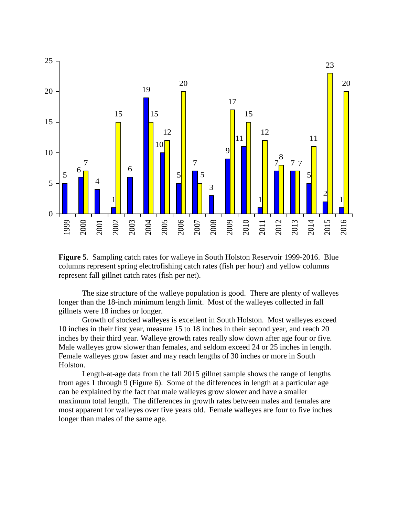

**Figure 5**. Sampling catch rates for walleye in South Holston Reservoir 1999-2016. Blue columns represent spring electrofishing catch rates (fish per hour) and yellow columns represent fall gillnet catch rates (fish per net).

The size structure of the walleye population is good. There are plenty of walleyes longer than the 18-inch minimum length limit. Most of the walleyes collected in fall gillnets were 18 inches or longer.

Growth of stocked walleyes is excellent in South Holston. Most walleyes exceed 10 inches in their first year, measure 15 to 18 inches in their second year, and reach 20 inches by their third year. Walleye growth rates really slow down after age four or five. Male walleyes grow slower than females, and seldom exceed 24 or 25 inches in length. Female walleyes grow faster and may reach lengths of 30 inches or more in South Holston.

Length-at-age data from the fall 2015 gillnet sample shows the range of lengths from ages 1 through 9 (Figure 6). Some of the differences in length at a particular age can be explained by the fact that male walleyes grow slower and have a smaller maximum total length. The differences in growth rates between males and females are most apparent for walleyes over five years old. Female walleyes are four to five inches longer than males of the same age.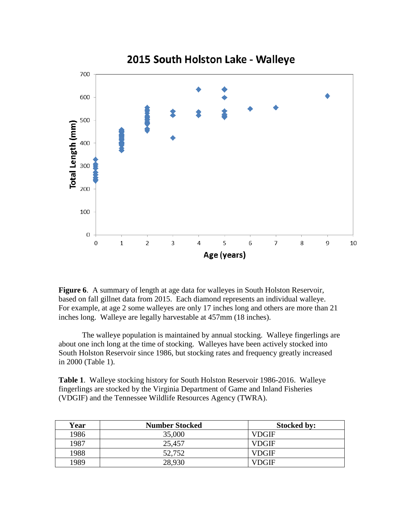

**Figure 6**. A summary of length at age data for walleyes in South Holston Reservoir, based on fall gillnet data from 2015. Each diamond represents an individual walleye. For example, at age 2 some walleyes are only 17 inches long and others are more than 21 inches long. Walleye are legally harvestable at 457mm (18 inches).

The walleye population is maintained by annual stocking. Walleye fingerlings are about one inch long at the time of stocking. Walleyes have been actively stocked into South Holston Reservoir since 1986, but stocking rates and frequency greatly increased in 2000 (Table 1).

**Table 1**. Walleye stocking history for South Holston Reservoir 1986-2016. Walleye fingerlings are stocked by the Virginia Department of Game and Inland Fisheries (VDGIF) and the Tennessee Wildlife Resources Agency (TWRA).

| Year | <b>Number Stocked</b> | <b>Stocked by:</b> |
|------|-----------------------|--------------------|
| 1986 | 35,000                | VDGIF              |
| 1987 | 25,457                | VDGIF              |
| 1988 | 52,752                | <b>VDGIF</b>       |
| 1989 | 28,930                | VDGIF              |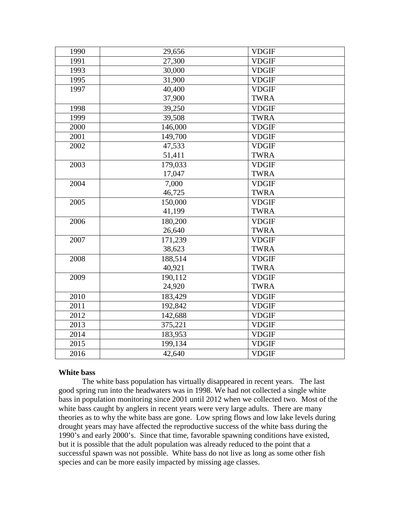| 1990 | 29,656  | <b>VDGIF</b> |
|------|---------|--------------|
| 1991 | 27,300  | <b>VDGIF</b> |
| 1993 | 30,000  | <b>VDGIF</b> |
| 1995 | 31,900  | <b>VDGIF</b> |
| 1997 | 40,400  | <b>VDGIF</b> |
|      | 37,900  | <b>TWRA</b>  |
| 1998 | 39,250  | <b>VDGIF</b> |
| 1999 | 39,508  | <b>TWRA</b>  |
| 2000 | 146,000 | <b>VDGIF</b> |
| 2001 | 149,700 | <b>VDGIF</b> |
| 2002 | 47,533  | <b>VDGIF</b> |
|      | 51,411  | <b>TWRA</b>  |
| 2003 | 179,033 | <b>VDGIF</b> |
|      | 17,047  | <b>TWRA</b>  |
| 2004 | 7,000   | <b>VDGIF</b> |
|      | 46,725  | <b>TWRA</b>  |
| 2005 | 150,000 | <b>VDGIF</b> |
|      | 41,199  | <b>TWRA</b>  |
| 2006 | 180,200 | <b>VDGIF</b> |
|      | 26,640  | <b>TWRA</b>  |
| 2007 | 171,239 | <b>VDGIF</b> |
|      | 38,623  | <b>TWRA</b>  |
| 2008 | 188,514 | <b>VDGIF</b> |
|      | 40,921  | <b>TWRA</b>  |
| 2009 | 190,112 | <b>VDGIF</b> |
|      | 24,920  | <b>TWRA</b>  |
| 2010 | 183,429 | <b>VDGIF</b> |
| 2011 | 192,842 | <b>VDGIF</b> |
| 2012 | 142,688 | <b>VDGIF</b> |
| 2013 | 375,221 | <b>VDGIF</b> |
| 2014 | 183,953 | <b>VDGIF</b> |
| 2015 | 199,134 | <b>VDGIF</b> |
| 2016 | 42,640  | <b>VDGIF</b> |

## **White bass**

The white bass population has virtually disappeared in recent years. The last good spring run into the headwaters was in 1998. We had not collected a single white bass in population monitoring since 2001 until 2012 when we collected two. Most of the white bass caught by anglers in recent years were very large adults. There are many theories as to why the white bass are gone. Low spring flows and low lake levels during drought years may have affected the reproductive success of the white bass during the 1990's and early 2000's. Since that time, favorable spawning conditions have existed, but it is possible that the adult population was already reduced to the point that a successful spawn was not possible. White bass do not live as long as some other fish species and can be more easily impacted by missing age classes.